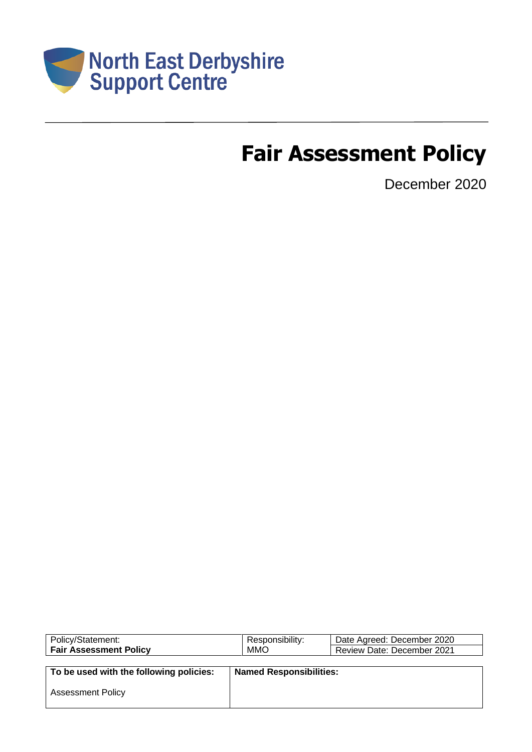

# **Fair Assessment Policy**

December 2020

| Policy/Statement:                       | Responsibility:                | Date Agreed: December 2020 |
|-----------------------------------------|--------------------------------|----------------------------|
| <b>Fair Assessment Policy</b>           | <b>MMO</b>                     | Review Date: December 2021 |
|                                         |                                |                            |
| To be used with the following policies: | <b>Named Responsibilities:</b> |                            |
|                                         |                                |                            |
| <b>Assessment Policy</b>                |                                |                            |
|                                         |                                |                            |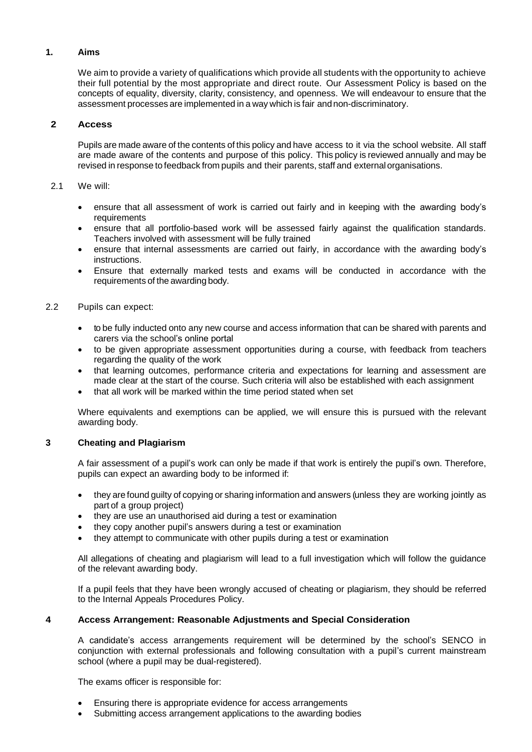## **1. Aims**

We aim to provide a variety of qualifications which provide all students with the opportunity to achieve their full potential by the most appropriate and direct route. Our Assessment Policy is based on the concepts of equality, diversity, clarity, consistency, and openness. We will endeavour to ensure that the assessment processes are implemented in a way which is fair andnon-discriminatory.

## **2 Access**

Pupils are made aware of the contents of this policy and have access to it via the school website. All staff are made aware of the contents and purpose of this policy. This policy is reviewed annually and may be revised in response to feedback from pupils and their parents, staff and externalorganisations.

#### 2.1 We will:

- ensure that all assessment of work is carried out fairly and in keeping with the awarding body's requirements
- ensure that all portfolio-based work will be assessed fairly against the qualification standards. Teachers involved with assessment will be fully trained
- ensure that internal assessments are carried out fairly, in accordance with the awarding body's instructions.
- Ensure that externally marked tests and exams will be conducted in accordance with the requirements of the awarding body.
- 2.2 Pupils can expect:
	- to be fully inducted onto any new course and access information that can be shared with parents and carers via the school's online portal
	- to be given appropriate assessment opportunities during a course, with feedback from teachers regarding the quality of the work
	- that learning outcomes, performance criteria and expectations for learning and assessment are made clear at the start of the course. Such criteria will also be established with each assignment
	- that all work will be marked within the time period stated when set

Where equivalents and exemptions can be applied, we will ensure this is pursued with the relevant awarding body.

## **3 Cheating and Plagiarism**

A fair assessment of a pupil's work can only be made if that work is entirely the pupil's own. Therefore, pupils can expect an awarding body to be informed if:

- they are found guilty of copying or sharing information and answers (unless they are working jointly as part of a group project)
- they are use an unauthorised aid during a test or examination
- they copy another pupil's answers during a test or examination
- they attempt to communicate with other pupils during a test or examination

All allegations of cheating and plagiarism will lead to a full investigation which will follow the guidance of the relevant awarding body.

If a pupil feels that they have been wrongly accused of cheating or plagiarism, they should be referred to the Internal Appeals Procedures Policy.

## **4 Access Arrangement: Reasonable Adjustments and Special Consideration**

A candidate's access arrangements requirement will be determined by the school's SENCO in conjunction with external professionals and following consultation with a pupil's current mainstream school (where a pupil may be dual-registered).

The exams officer is responsible for:

- Ensuring there is appropriate evidence for access arrangements
- Submitting access arrangement applications to the awarding bodies